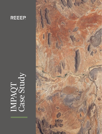

# IMPAQT Case Study

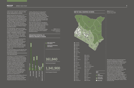### CASE STUDY: HEALTH, WEALTH AND SOLAR IRRIGATION IN KENYA

REEEP launched the pilot phase of its IMPAQT (Indicators for Multidimensional Prosperity Assessment, Quantification and Testing) project in 2015 together with the climate policy think tank Perspectives Climate Change, who have been working on climate change strategies for over fifteen years, and who have developed a unique way of quantifying and measuring the long-term impacts of climate change adaptation projects.

The methodology, called Saved Health/ Saved Wealth (SH/SW), works by applying standardised indicators to quantify long-term adaptation benefits to human health - in Disability Adjusted Life Years<sup>1</sup>, or DALYs – and wealth – in USD – while considering uncertainties. We utilised an adapted, mixed version of this metric, for assessing our markets.

For IMPAQT, we first generated baseline BAU scenarios including expected climate-related damages, then analysed ex-post the initial market outcomes as measured by REEEP's Monitoring, Evaluation and Learning (MEL) systems. Finally, we created a scenario to predict impacts in the event of countrywide market scale.

The initial findings out of the SH/SW study of solar-powered irrigation in Kenya are particularly striking.

### THE BACKGROUND

Agriculture is a central contributor to rural livelihoods, food provision and the economy in general in Kenya, accounting for 60% of foreign exchange and around a quarter of GDP. In the past two decades, increases in number and intensity of droughts and floods have affected personal wealth and food production in the country considerably. Between 1964 and 1984 Kenya experienced one famine cycle; from 2004 to 2009, it experienced five. These impacts are exacerbated due to comparably limited response and resource management capacity, as well as technology and infrastructure deficiencies.

To understand the vulnerability of Kenya's agriculture sector, it is necessary to consider the general climatic conditions, agricultural production patterns and irrigation potential. For most parts of the

country, Kenya has two rain seasons: one with long-lasting rainfall from March to May; and short rain periods from October to December. Within the country, three types of land are classified according to the annual precipitation: Arid and semi-arid land (ASAL) (see map on next page), the medium rainfall zone, and the high rainfall zone.

More than 80% of Kenya is classified as ASAL; the remaining 20% is classified as medium to high rainfall zones. Most food and cash crops, as well as livestock, are produced in high rainfall zones under semi-intensive and intensive agricultural systems. The below graphic provides an overview of the irrigation potential in Kenya.

### **IRRIGATION POTENTIAL IN VARIOUS REGIONS IN KENYA**



**67,427**

**TANA RIVER**



**Source:** *Ministry of Agriculture, Livestock and Fisheries, Republic of* 



**Source:** *Ministry of Devolution and Planning, Republic of Kenya, 2015*

Meanwhile, Kenya is experiencing more extreme temperatures and general declines in rainfall due to climate change. At the same time, there are indications that the ASAL zone is increasing.

Agriculture in Kenya is typically rain-fed with two growing seasons, and insufficient water distribution infrastructure for collection and storage has led to widespread inefficiencies in water resource management. Water scarcity is a growing problem as deforestation, erosion and droughts negatively impact watersheds. With these trends exacerbated by climate change, agricultural productivity — particularly of subsistence farmers — has become highly unpredictable, putting the country's food security at risk.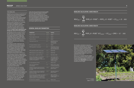### THE BASELINE

REEEP has been looking at market-based solutions for solar-powered irrigation systems in Kenya as part of our Powering Agrifood Value Chains project, and specifically via investments in two companies offering products in the country, Futurepump and SunCulture.

Whereas both companies are currently operating at regional level and in non-ASAL areas, REEEP expects both coverage and scope to grow as the companies expand and new entrants arrive in the market. We are looking toward a **countrywide expansion of the market for solar-powered irrigation.**

Smallholder farmers account for 75% of the agriculture sector in Kenya. These farmers face long-standing barriers in accessing food markets, credits and technology and are easily affected by volatile food and energy prices. These challenges limit their ability to increase production, and thus, to counteract pressures on food security, nutrition and poverty.

According to USAID, inadequate and deteriorating food security increased the number of malnourished children by 20% between April 2013 and July 2014. In addition, the choice of food consumption is also limited, which also leads to malnutrition. Today, 45% of the population are classified as poor, the majority being small-scale farmers.

In our baseline scenario, irrigated land in Kenya reaches about 4% of the national surface due to the lack of appropriate technology for smallholder farmers. Most smallholders use treadle irrigation systems if at all, as modern petrol or diesel pumps are unaffordable. These systems are time-consuming and require a high level of physical labour, which can lead to health problems, and are also recognised in the baseline.

Utilising FAO data on crop varieties, yields and price trends, we can apply SH/SW methodology to assess baseline wealth losses; health losses based on a frequency distribution of food supply with its nutritional values in terms of energy (in kcal), fat and proteins and related life years in DALYs. As literature and calculations on this topic are limited, the calculation relies on publically available data. The results are preliminary, as obviously key factors

other than the nutritional situation might also have significant impact on health. However, the assumption serves as good indication to estimate the relation between malnutrition and life years lost or lived with disabilities. We hope to improve our understanding of how health losses result from malnutrition as we continue investing in agrifood value chains.

### **GENERAL BASELINE PARAMETERS**

| <b>PARAMETER</b>                                                                                                                                                                          | <b>VALUE</b>                       | <b>SOURCE</b>                                                                                                |
|-------------------------------------------------------------------------------------------------------------------------------------------------------------------------------------------|------------------------------------|--------------------------------------------------------------------------------------------------------------|
| Project country                                                                                                                                                                           | Kenya                              | <b>REEEP</b>                                                                                                 |
| Project region/community                                                                                                                                                                  | Various<br>                        | REEEP<br>                                                                                                    |
| Proiect start vear                                                                                                                                                                        | 2014<br>                           | <b>RFFFP</b>                                                                                                 |
| Total project area in ha                                                                                                                                                                  | 58.3                               | <b>REEEP Monitoring,</b><br>Evaluation and<br>Learning (MEL)                                                 |
| PLT (project lifetime in years)                                                                                                                                                           | 10                                 | REEEP                                                                                                        |
| POPO (population in start year)                                                                                                                                                           | 603                                | REEEP MEL (# farms)<br>and World Bank 2016<br>(avg. household size)                                          |
| PGR (population growth rate per year)                                                                                                                                                     | 0.0%                               | <b>REEEP MEL</b>                                                                                             |
| WPCB: Baseline Income (USD/p.c./y)                                                                                                                                                        | 1.111                              | REEEP MEL<br>                                                                                                |
| $IGR:$ Income p.c. growth rate $(\frac{9}{7})$                                                                                                                                            | 3.2%                               | World Bank 2016                                                                                              |
| CCloss,t: Percentage of income/health<br>projected to be lost due to climate<br>change in year t (excludes savings due to<br>autonomous adaptation).                                      | 1.0%                               | Local values and if<br>not available national<br>or regional values<br>(default: 1% due to<br>climate change |
| LE: Life expectancy at birth                                                                                                                                                              | 61<br>____________________________ | Default value                                                                                                |
| FSD: Food supply deficit<br>(kcal/cap/day)                                                                                                                                                | 135                                | Default, Kenya, deficit<br>of undernourished pop.                                                            |
| <b>CCdeaths: Population that dies because</b><br>of climate change in DALYs per year and<br>per capita                                                                                    | 0.068                              | Calculated, based on<br>global analysis                                                                      |
| CCdisab: Population that has disabilities<br>because of climate change in DALYs per<br>year and per capita                                                                                | 0.034                              | Calculated, based on<br>global analysis                                                                      |
| DW: Average disability weight; the disability<br>weight is a weight factor that reflects the<br>severity of the disease on a scale from O<br>(perfect health) to 1 (equivalent to death); | 0.5                                | DWs for different<br>diseases can be found<br>in WHO (2004)                                                  |
| AA: Autonomous adaptation                                                                                                                                                                 | 10%                                | Default value                                                                                                |

### **BASELINE CALCULATION: SAVED WEALTH**

$$
WLC_{PLT} = \sum_{(y=0)}^{PLT} POP_{O}(1 + PGR)^{y} * WPC_{B} (1 + IGR)^{y} * CC_{loss} * (1 - AA)
$$

### **BASELINE CALCULATION: SAVED HEALTH**

$$
HLC_{PLT} = \sum_{t=0}^{PLT} POP_0 (1 + PGR)^t (CC_{deaths} + CC_{disab} * DW) * (1 - AA)
$$

The baseline calculations represent discounted summations over the project lifetime of expected climate-related damages to health and wealth of the affected population. A full explanation of the methodology behind Mixed Saved Health/Saved Wealth will be included in the full REEEP IMPAQT report to be published in late 2016.

Thus we can calculate that the roughly 600 farmers and their family members are facing wealth losses due to yield decrease of more than **USD 70,000** over 10 years, and more than **600 DALY** losses due to insufficient food supply.



*An Agro-Solar Irrigation Kit (ASIK) (***Credit***: Sunculture)*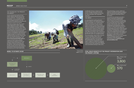### THE TECHNOLOGY; THE PRODUCT; THE MARKET

As part of Powering Agrifood Value Chains, REEEP selected and invested in two companies — Futurepump and SunCulture — to act as market catalysts and investigative partners into the solar-powered irrigation sector generally, and Kenyan market specifically.

SunCulture designs and sells an Agro Solar Irrigation Kit (ASIK), which is a fully-integrated system combining solar pumping technology with a highefficiency drip irrigation system, as well as an agronomic-based financial support model (called agricultural extension services); Futurepump is behind the basic and low-cost Sunflower solar powered irrigation pump (no irrigation system) combined with an end-user finance that allows for flexible payments. To read more about these technologies visit **www.reeep.org/powering\_agrifood** 

Compared with treadle pumping, solar powered irrigation systems can withdraw deeper groundwater with less labour. From an environmental perspective, solar powered irrigation systems produce far less GHG emissions than petrol or diesel powered pumps. Increased access to water allows poor





*Farmers using the Sunculture ASIK (***Credit***: Sunculture)*

smallholder farmers to improve food security during cultivation in the dry season, as well as creating extra income by cultivating high value vegetables and fruits.

### THE IMPACT

In calculating the wealth and health benefits related to the additional yields of these technologies, we considered three different scenarios: First, the current rollout of around 90 systems in Kenya makes our basic scenario. The second and third are essentially extrapolations of the original results based on a larger number of beneficiaries and hectares of irrigated farmland. Futurepump and SunCulture offer different products with variations in specific outcomes and coverage; however, the SH/SW results are considered jointly. The methodology, which will be released

in the second half of 2016, allows us to analyse the volume of expected additional yield due to the technology. The methodology also considers the negative impacts of additional irrigation, such as salinization of soil, waterlogging yield decreases and a default for irrigation water potentially missing at other areas.

The methodology assumes additional yields are used first by farmers to address their own nutritional undersupply first, before selling the remaining crops to the market.

As a result, the calculation provides a positive outcome for all quantified indicators. For the health benefits, almost all DALY losses from the baseline can be avoided through the significantly increased yields due to the irrigation systems. Theoretically, 100% of the malnutrition in the baseline could be avoided through additional production. However, as a conservative approach, methodological parameters limit the 100% avoidance of malnutrition, which reflects uncertainty regarding the nutritional values of consumed crops from additional production or the market. Nevertheless, the project would result in around **570 DALYs** saved over the 10-year lifetime of the technology among a project population of 603 individuals, representing about **3,800 DALYs per invested million USD** .

**MODEL TO ESTIMATE SH/SW TOTAL HEALTH BENEFITS OF THE PROJECT INTERVENTION OVER THE PROJECT LIFETIME**

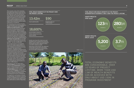The economic value of the remaining food sold on the market can be derived by applying the average market price of the respective crops over the last five years. Hereby the economic benefit can significantly exceed the climate change induced wealth losses in the baseline. This is a valid assumption as also the sustainable development benefit of the project intervention beyond the climate related part is considered.

We found that total economic benefits are considerable. Over 10 years of project lifetime, a total of more than **USD 13 million of wealth benefits** can be achieved with only about USD 150,000 program investment (deployed at the time of calculation — total investment amounts to USD 1.5m). This is mainly due to the threefold (and as much as sixfold in some instances) increase in productivity, meaning that almost 95% of additional food is not required for consumption but ready for sale. Thus the wealth benefits of **USD 90 per invested USD** are very high. The relative wealth benefits per person<br>- compared to the average income in the baseline — are also considerable.

The second scenario is extrapolated to cover the project target number of 1400 farms and the full deployment of USD 1.5 million investments across both companies. The third scenario represents a simplified estimation of the irrigation potential for the whole of Kenya, based on Kenyan government assessments of irrigation potential and constant parameters. Although transposing target market parameters (such as crop types, farm sizes and environments etc.) onto other areas of the country is insufficient for a proper analysis, the calculations nevertheless give an indication of the order of magnitude of the benefits in a country-wide program.

In Scenario 2, one can expect up to **USD 123 million** of economic benefits and more than **5,000 DALYs** saved over 10 years. Within Scenario 3, one could expect economic benefits of about **USD 280 billion** for the country 2. DALYs would reach **3.7 million** over 10 years representing a tremendous contribution to Kenya's health and wellbeing and increasing food-security tremendously.

As compared to our baseline of climaterelated damages, the market is expected to address challenges due to adaptation deficit and climate change impacts more than sufficiently (see above). Regarding

### **TOTAL WEALTH BENEFITS OF THE PROJECT OVER THE PROJECT LIFETIME**

Wealth benefits per 1 USD invested

**13.42m** 

Total wealth benefits

**18,600%**

Saved wealth in relation to climate change losses in the project lifetime

health, more than 93% of the losses and disabilities due to malnutrition and food deficit can be avoided. In case the general food market provides sufficient variety, even 100% could be possible.

Regarding wealth benefits, the additional food produced and sold on the market exceed the wealth losses in the baseline by several orders of magnitude.





TOTAL ECONOMIC BENEFITS ARE CONSIDERABLE. OVER 10 YEARS OF PROJECT LIFETIME, MORE THAN USD 13M OF WEALTH BENEFITS CAN BE ACHIEVED WITH ONLY ABOUT USD 150K IN PROGRAM INVESTMENT

**Credit***: Sunculture*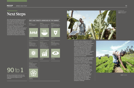# Next Steps

The solar-powered irrigation sector in Kenya clearly provides phenomenal sustainable development return on investment, in terms of wealth and health benefits, at rates of up to 90 to 1.

The sector, which is close to, but not yet ready for, commercial levels of investment, also represents a vast store of opportunity for progress toward climate and development goals. These goals are expressed in the Paris Agreement and Intended Nationally Determined Contribution (INDC) of Kenya, and the Sustainable Development Goals (SDGs).



Return on investment rates that can be achieved through investing in the solar-powered irrigation sector in Kenya

**Targets:** 17.3, 17.5





For Kenya, with its relatively low carbon intensity, emissions mitigation is not a pressing priority, nor does mitigation figure prominently in Kenya's INDC; however, the potential for  $\mathrm{CO}_2$  emissions avoidance — vis-à-vis an agricultural development pathway in which the energy to power irrigation is powered by hydrocarbonbased technology, such as diesel fuel is nonetheless significant, REEEP continues to work on developing a robust scenario predictor of potential avoided GHG emissions for the sector, which should be released by the end of 2016.

Of course, the market for clean irrigation represents tremendous potential both for furthering Kenya's INDC objectives toward climate adaptation and resiliency, as well as making progress toward seven SDGs (see figure on left).

One of the great challenges of the ambitious post-2015 development agenda lies in quantifying, measuring and understanding the numerous inter-linkages among the 17 Goals and 179 Targets (not to mention the current proposed basket of 230 indicators to assess them). Through the IMPAQT program, REEEP is hoping not only to improve evidence-based cost benefit analyses in decision making and uncover entry points for mobilising private finance, but also to pilot practical solutions to the indicator multiplicity challenge.

**Credit***: Sunculture*